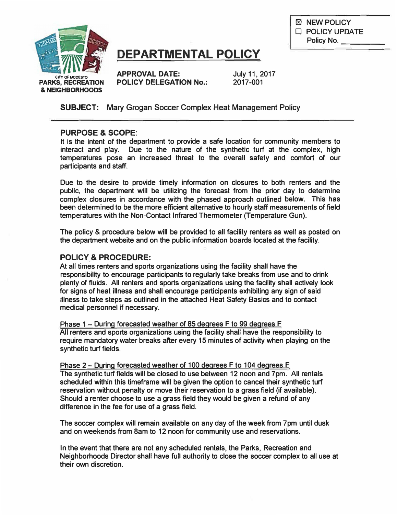

# **DEPARTMENTAL POLICY**

**APPROVAL DATE: July 11, 2017 POLICY DELEGATION No.: 2017-001** 

**SUBJECT: Mary Grogan Soccer Complex Heat Management Policy**

#### **PURPOSE & SCOPE:**

**It is the intent of the department to provide a safe location for community members to interact and play. Due to the nature of the synthetic turf at the complex, high temperatures pose an increased threat to the overall safety and comfort of our participants and staff.** 

**Due to the desire to provide timely information on closures to both renters and the public, the department will be utilizing the forecast from the prior day to determine complex closures in accordance with the phased approach outlined below. This has been determined to be the more efficient alternative to hourly staff measurements of field temperatures with the Non-Contact Infrared Thermometer (Temperature Gun).** 

**The policy & procedure below will be provided to all facility renters as well as posted on the department website and on the public information boards located at the facility.** 

#### POLICY & PROCEDURE:

**At all times renters and sports organizations using the facility shall have the responsibility to encourage participants to regularly take breaks from use and to drink plenty of fluids. All renters and sports organizations using the facility shall actively look for signs of heat illness and shall encourage participants exhibiting any sign of said illness to take steps as outlined in the attached Heat Safety Basics and to contact medical personnel if necessary.** 

**Phase 1 - During forecasted weather of 85 degrees F to 99 degrees F All renters and sports organizations using the facility shall have the responsibility to require mandatory water breaks after every 15 minutes of activity when playing on the synthetic turf fields.** 

**Phase 2 - During forecasted weather of 100 degrees F to 104 degrees F The synthetic turf fields will be closed to use between 12 noon and 7pm. All rentals scheduled within this timeframe will be given the option to cancel their synthetic turf reservation without penalty or move their reservation to a grass field (if available). Should a renter choose to use a grass field they would be given a refund of any difference in the fee for use of a grass field.** 

**The soccer complex will remain available on any day of the week from 7pm until dusk and on weekends from Barn to 12 noon for community use and reservations.** 

**In the event that there are not any scheduled rentals, the Parks, Recreation and Neighborhoods Director shall have full authority to close the soccer complex to all use at their own discretion.** 

**181 NEW POLICY**  □ **POLICY UPDATE** Policy No.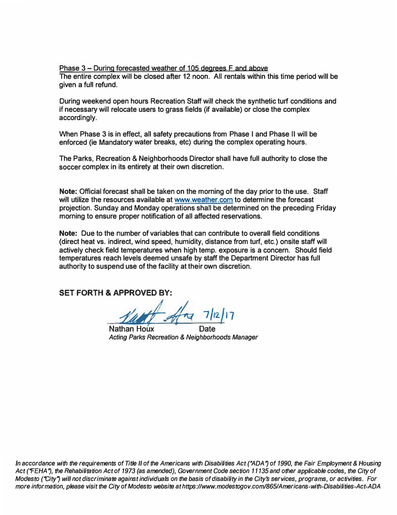**Phase 3 - During forecasted weather of 105 degrees F and above The entire complex will be closed after 12 noon. All rentals within this time period will be given a full refund.** 

**During weekend open hours Recreation Staff will check the synthetic turf conditions and if necessary will relocate users to grass fields (if available) or close the complex accordingly.** 

**When Phase 3 is in effect, all safety precautions from Phase I and Phase II will be enforced (ie Mandatory water breaks, etc) during the complex operating hours.** 

**The Parks, Recreation & Neighborhoods Director shall have full authority to close the soccer complex in its entirety at their own discretion.** 

**Note: Official forecast shall be taken on the morning of the day prior to the use. Staff will utilize the resources available at<www.weather.com> to determine the forecast projection. Sunday and Monday operations shall be determined on the preceding Friday morning to ensure proper notification of all affected reservations.** 

**Note: Due to the number of variables that can contribute to overall field conditions (direct heat vs. indirect, wind speed, humidity, distance from turf, etc.) onsite staff will actively check field temperatures when high temp. exposure is a concern. Should field temperatures reach levels deemed unsafe by staff the Department Director has full authority to suspend use of the facility at their own discretion.** 

**SET FORTH & APPROVED BY:**

Marth Alma 7/12/17

**Nathan Houx** *Acting Parks Recreation* **&** *Neighborhoods Manager* 

In accordance with the requirements of Title II of the Americans with Disabilities Act ("ADA") of 1990, the Fair Employment & Housing Act ("FEHA"), the Rehabilitation Act of 1973 (as amended), Government Code section 11135 and other applicable codes, the City of Modesto ("City") will not discriminate against individuals on the basis of disability in the City's services, programs, or activities. For more information, please visit the City of Modesto website at https[://www.m](https://www.modestogov.com/865/Americans-with-Disabilities-Act-ADA)odestogov.com/865/Americans-with-Disabilities-Act-ADA